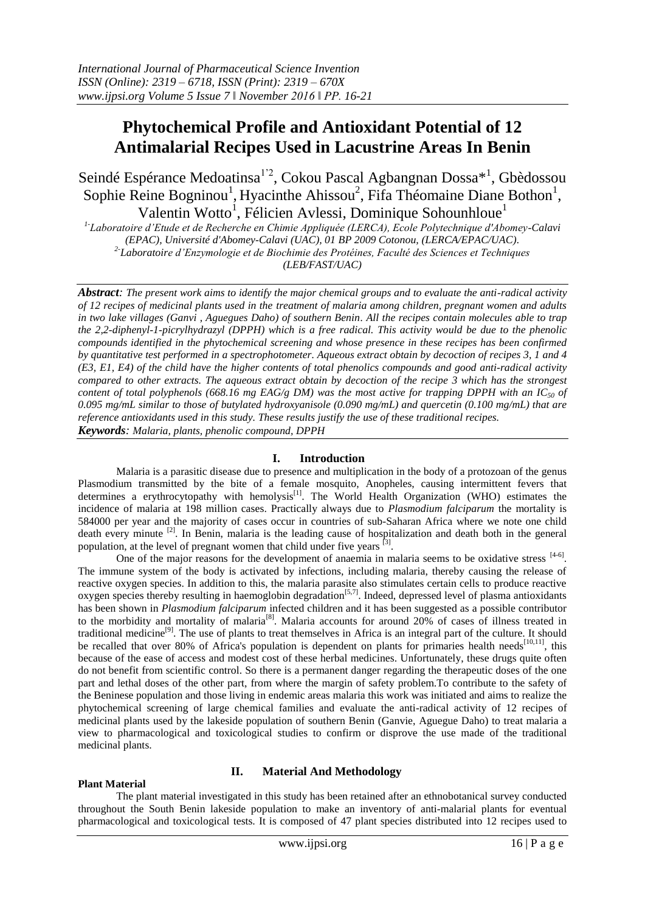# **Phytochemical Profile and Antioxidant Potential of 12 Antimalarial Recipes Used in Lacustrine Areas In Benin**

Seindé Espérance Medoatinsa<sup>1'2</sup>, Cokou Pascal Agbangnan Dossa<sup>\*1</sup>, Gbèdossou Sophie Reine Bogninou<sup>1</sup>, Hyacinthe Ahissou<sup>2</sup>, Fifa Théomaine Diane Bothon<sup>1</sup>, Valentin Wotto<sup>1</sup>, Félicien Avlessi, Dominique Sohounhloue<sup>1</sup>

*1- Laboratoire d'Etude et de Recherche en Chimie Appliquée (LERCA), Ecole Polytechnique d'Abomey-Calavi (EPAC), Université d'Abomey-Calavi (UAC), 01 BP 2009 Cotonou, (LERCA/EPAC/UAC). 2- Laboratoire d'Enzymologie et de Biochimie des Protéines, Faculté des Sciences et Techniques (LEB/FAST/UAC)*

*Abstract: The present work aims to identify the major chemical groups and to evaluate the anti-radical activity of 12 recipes of medicinal plants used in the treatment of malaria among children, pregnant women and adults in two lake villages (Ganvi , Aguegues Daho) of southern Benin. All the recipes contain molecules able to trap the 2,2-diphenyl-1-picrylhydrazyl (DPPH) which is a free radical. This activity would be due to the phenolic compounds identified in the phytochemical screening and whose presence in these recipes has been confirmed by quantitative test performed in a spectrophotometer. Aqueous extract obtain by decoction of recipes 3, 1 and 4 (E3, E1, E4) of the child have the higher contents of total phenolics compounds and good anti-radical activity compared to other extracts. The aqueous extract obtain by decoction of the recipe 3 which has the strongest content of total polyphenols (668.16 mg EAG/g DM) was the most active for trapping DPPH with an IC<sup>50</sup> of 0.095 mg/mL similar to those of butylated hydroxyanisole (0.090 mg/mL) and quercetin (0.100 mg/mL) that are reference antioxidants used in this study. These results justify the use of these traditional recipes. Keywords: Malaria, plants, phenolic compound, DPPH*

# **I. Introduction**

Malaria is a parasitic disease due to presence and multiplication in the body of a protozoan of the genus Plasmodium transmitted by the bite of a female mosquito, Anopheles, causing intermittent fevers that determines a erythrocytopathy with hemolysis<sup>[1]</sup>. The World Health Organization (WHO) estimates the incidence of malaria at 198 million cases. Practically always due to *Plasmodium falciparum* the mortality is 584000 per year and the majority of cases occur in countries of sub-Saharan Africa where we note one child death every minute <sup>[2]</sup>. In Benin, malaria is the leading cause of hospitalization and death both in the general population, at the level of pregnant women that child under five years  $^{[3]}$ .

One of the major reasons for the development of anaemia in malaria seems to be oxidative stress  $[4-6]$ . The immune system of the body is activated by infections, including malaria, thereby causing the release of reactive oxygen species. In addition to this, the malaria parasite also stimulates certain cells to produce reactive oxygen species thereby resulting in haemoglobin degradation[5,7]. Indeed, depressed level of plasma antioxidants has been shown in *Plasmodium falciparum* infected children and it has been suggested as a possible contributor to the morbidity and mortality of malaria<sup>[8]</sup>. Malaria accounts for around 20% of cases of illness treated in traditional medicine<sup>[9]</sup>. The use of plants to treat themselves in Africa is an integral part of the culture. It should be recalled that over 80% of Africa's population is dependent on plants for primaries health needs<sup>[10,11]</sup>, this because of the ease of access and modest cost of these herbal medicines. Unfortunately, these drugs quite often do not benefit from scientific control. So there is a permanent danger regarding the therapeutic doses of the one part and lethal doses of the other part, from where the margin of safety problem.To contribute to the safety of the Beninese population and those living in endemic areas malaria this work was initiated and aims to realize the phytochemical screening of large chemical families and evaluate the anti-radical activity of 12 recipes of medicinal plants used by the lakeside population of southern Benin (Ganvie, Aguegue Daho) to treat malaria a view to pharmacological and toxicological studies to confirm or disprove the use made of the traditional medicinal plants.

## **Plant Material**

## **II. Material And Methodology**

The plant material investigated in this study has been retained after an ethnobotanical survey conducted throughout the South Benin lakeside population to make an inventory of anti-malarial plants for eventual pharmacological and toxicological tests. It is composed of 47 plant species distributed into 12 recipes used to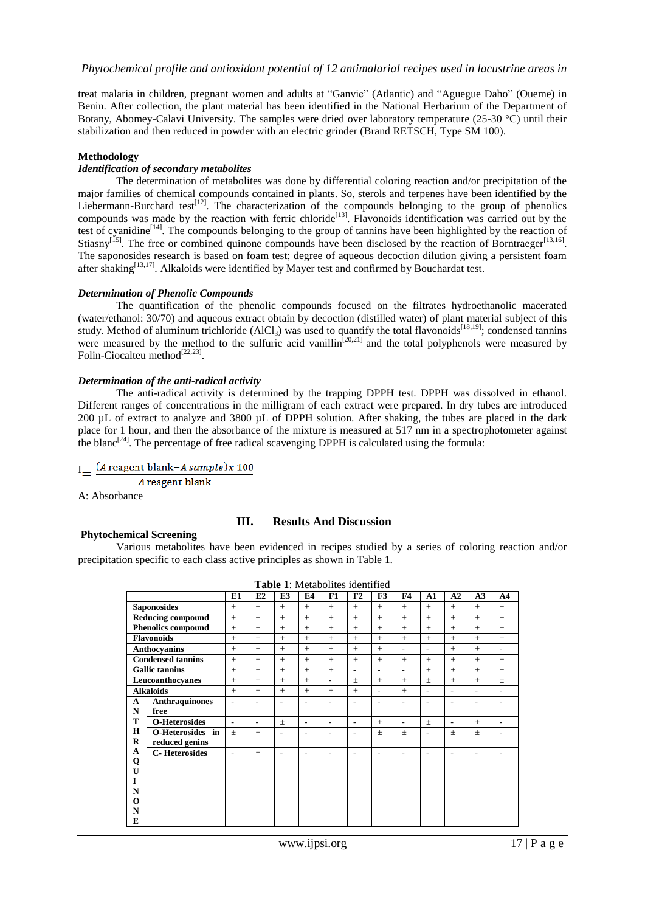treat malaria in children, pregnant women and adults at "Ganvie" (Atlantic) and "Aguegue Daho" (Oueme) in Benin. After collection, the plant material has been identified in the National Herbarium of the Department of Botany, Abomey-Calavi University. The samples were dried over laboratory temperature (25-30 °C) until their stabilization and then reduced in powder with an electric grinder (Brand RETSCH, Type SM 100).

## **Methodology**

# *Identification of secondary metabolites*

The determination of metabolites was done by differential coloring reaction and/or precipitation of the major families of chemical compounds contained in plants. So, sterols and terpenes have been identified by the Liebermann-Burchard test<sup>[12]</sup>. The characterization of the compounds belonging to the group of phenolics compounds was made by the reaction with ferric chloride<sup>[13]</sup>. Flavonoids identification was carried out by the test of cyanidine<sup>[14]</sup>. The compounds belonging to the group of tannins have been highlighted by the reaction of Stiasny<sup>[15]</sup>. The free or combined quinone compounds have been disclosed by the reaction of Borntraeger<sup>[13,16]</sup>. The saponosides research is based on foam test; degree of aqueous decoction dilution giving a persistent foam after shaking<sup>[13,17]</sup>. Alkaloids were identified by Mayer test and confirmed by Bouchardat test.

## *Determination of Phenolic Compounds*

The quantification of the phenolic compounds focused on the filtrates hydroethanolic macerated (water/ethanol: 30/70) and aqueous extract obtain by decoction (distilled water) of plant material subject of this study. Method of aluminum trichloride  $(AICI<sub>3</sub>)$  was used to quantify the total flavonoids<sup>[18,19]</sup>; condensed tannins were measured by the method to the sulfuric acid vanillin<sup>[20,21]</sup> and the total polyphenols were measured by Folin-Ciocalteu method $^{[22,23]}$ .

## *Determination of the anti-radical activity*

The anti-radical activity is determined by the trapping DPPH test. DPPH was dissolved in ethanol. Different ranges of concentrations in the milligram of each extract were prepared. In dry tubes are introduced 200  $\mu$ L of extract to analyze and 3800  $\mu$ L of DPPH solution. After shaking, the tubes are placed in the dark place for 1 hour, and then the absorbance of the mixture is measured at 517 nm in a spectrophotometer against the blanc<sup>[24]</sup>. The percentage of free radical scavenging DPPH is calculated using the formula:

# $I_$  (A reagent blank-A sample)x 100

A reagent blank

A: Absorbance

# **III. Results And Discussion**

## **Phytochemical Screening**

Various metabolites have been evidenced in recipes studied by a series of coloring reaction and/or precipitation specific to each class active principles as shown in Table 1.

| <b>Table 1.</b> Metabolites Refiting |                           |       |                          |                |       |        |                |       |                          |        |       |       |                          |
|--------------------------------------|---------------------------|-------|--------------------------|----------------|-------|--------|----------------|-------|--------------------------|--------|-------|-------|--------------------------|
|                                      |                           | E1    | E2                       | E3             | E4    | F1     | F <sub>2</sub> | F3    | <b>F4</b>                | A1     | A2    | A3    | A <sub>4</sub>           |
| <b>Saponosides</b>                   |                           | $\pm$ | $\pm$                    | ±.             | $+$   | $+$    | 士              | $+$   | $+$                      | $\pm$  | $+$   | $+$   | $\pm$                    |
|                                      | <b>Reducing compound</b>  | $\pm$ | $\pm$                    | $+$            | $\pm$ | $+$    | $\pm$          | $\pm$ | $+$                      | $+$    | $+$   | $+$   | $+$                      |
|                                      | <b>Phenolics compound</b> | $+$   | $+$                      | $+$            | $+$   | $+$    | $+$            | $+$   | $+$                      | $+$    | $+$   | $+$   | $+$                      |
|                                      | <b>Flavonoids</b>         | $+$   | $+$                      | $+$            | $+$   | $+$    | $+$            | $+$   | $+$                      | $+$    | $+$   | $+$   | $+$                      |
|                                      | Anthocyanins              | $+$   | $+$                      | $+$            | $+$   |        | $\pm$          | $+$   | $\overline{\phantom{a}}$ | ٠      | $\pm$ | $+$   | ٠                        |
| <b>Condensed tannins</b>             |                           | $+$   | $+$                      | $+$            | $+$   | $+$    | $+$            | $+$   | $+$                      | $+$    | $+$   | $+$   | $+$                      |
| <b>Gallic tannins</b>                |                           | $+$   | $+$                      | $+$            | $+$   | $+$    | ۰              | ٠     | ٠                        | $\pm$  | $+$   | $+$   | $\pm$                    |
| Leucoanthocyanes                     |                           | $+$   | $+$                      | $+$            | $+$   | ٠      | $\pm$          | $+$   | $+$                      | $\pm$  | $+$   | $+$   | $\pm$                    |
| <b>Alkaloids</b>                     |                           | $+$   | $+$                      | $+$            | $+$   | $\, +$ | $\pm$          | ٠     | $+$                      | ٠      | ٠     | ٠     | $\overline{\phantom{a}}$ |
| $\mathbf A$                          | <b>Anthraquinones</b>     | ٠     |                          |                |       |        |                |       |                          |        |       |       |                          |
| $\mathbf N$                          | free                      |       |                          |                |       |        |                |       |                          |        |       |       |                          |
| T                                    | <b>O-Heterosides</b>      | ٠     | $\overline{\phantom{a}}$ | $\pm$          | ٠     | ٠      | ٠              | $+$   | ٠                        | $^{+}$ | ٠     | $+$   | ٠                        |
| $\mathbf H$                          | O-Heterosides in          | $\pm$ | $+$                      | ٠              | ۰     | ٠      |                | $\pm$ | $\pm$                    | ٠      | $\pm$ | $\pm$ |                          |
| $\bf{R}$                             | reduced genins            |       |                          |                |       |        |                |       |                          |        |       |       |                          |
| A                                    | <b>C-Heterosides</b>      | ٠     | $+$                      | $\overline{a}$ | ٠     | ٠      | ۰              |       | ۰                        |        |       |       |                          |
| Q                                    |                           |       |                          |                |       |        |                |       |                          |        |       |       |                          |
| U                                    |                           |       |                          |                |       |        |                |       |                          |        |       |       |                          |
| I                                    |                           |       |                          |                |       |        |                |       |                          |        |       |       |                          |
| $\mathbf N$                          |                           |       |                          |                |       |        |                |       |                          |        |       |       |                          |
| $\Omega$                             |                           |       |                          |                |       |        |                |       |                          |        |       |       |                          |
| $\mathbf N$                          |                           |       |                          |                |       |        |                |       |                          |        |       |       |                          |
| E                                    |                           |       |                          |                |       |        |                |       |                          |        |       |       |                          |

#### **Table 1**: Metabolites identified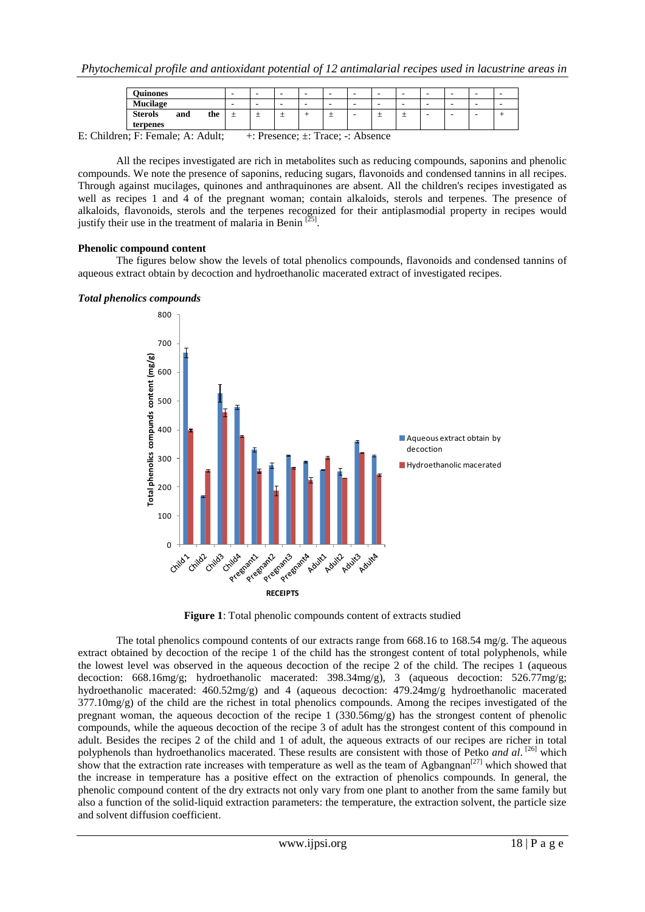| <b>Duinones</b>            |     |     |   | -   |        | - |   |   |   | - | - | - | -        | ٠ |
|----------------------------|-----|-----|---|-----|--------|---|---|---|---|---|---|---|----------|---|
| <b>Mucilage</b>            |     |     |   | -   | $\sim$ | - |   |   |   | - |   | - |          |   |
| <b>Sterols</b><br>terpenes | and | the | – | $-$ | –      |   | – | - | - | – |   | - | $\equiv$ |   |

E: Children; F: Female; A: Adult; +: Presence; ±: Trace; -: Absence

All the recipes investigated are rich in metabolites such as reducing compounds, saponins and phenolic compounds. We note the presence of saponins, reducing sugars, flavonoids and condensed tannins in all recipes. Through against mucilages, quinones and anthraquinones are absent. All the children's recipes investigated as well as recipes 1 and 4 of the pregnant woman; contain alkaloids, sterols and terpenes. The presence of alkaloids, flavonoids, sterols and the terpenes recognized for their antiplasmodial property in recipes would justify their use in the treatment of malaria in Benin  $^{[25]}$ .

#### **Phenolic compound content**

The figures below show the levels of total phenolics compounds, flavonoids and condensed tannins of aqueous extract obtain by decoction and hydroethanolic macerated extract of investigated recipes.

#### *Total phenolics compounds*



**Figure 1**: Total phenolic compounds content of extracts studied

The total phenolics compound contents of our extracts range from 668.16 to 168.54 mg/g. The aqueous extract obtained by decoction of the recipe 1 of the child has the strongest content of total polyphenols, while the lowest level was observed in the aqueous decoction of the recipe 2 of the child. The recipes 1 (aqueous decoction: 668.16mg/g; hydroethanolic macerated: 398.34mg/g), 3 (aqueous decoction: 526.77mg/g; hydroethanolic macerated: 460.52mg/g) and 4 (aqueous decoction: 479.24mg/g hydroethanolic macerated 377.10mg/g) of the child are the richest in total phenolics compounds. Among the recipes investigated of the pregnant woman, the aqueous decoction of the recipe 1 (330.56mg/g) has the strongest content of phenolic compounds, while the aqueous decoction of the recipe 3 of adult has the strongest content of this compound in adult. Besides the recipes 2 of the child and 1 of adult, the aqueous extracts of our recipes are richer in total polyphenols than hydroethanolics macerated. These results are consistent with those of Petko *and al*. [26] which show that the extraction rate increases with temperature as well as the team of Agbangnan<sup>[27]</sup> which showed that the increase in temperature has a positive effect on the extraction of phenolics compounds. In general, the phenolic compound content of the dry extracts not only vary from one plant to another from the same family but also a function of the solid-liquid extraction parameters: the temperature, the extraction solvent, the particle size and solvent diffusion coefficient.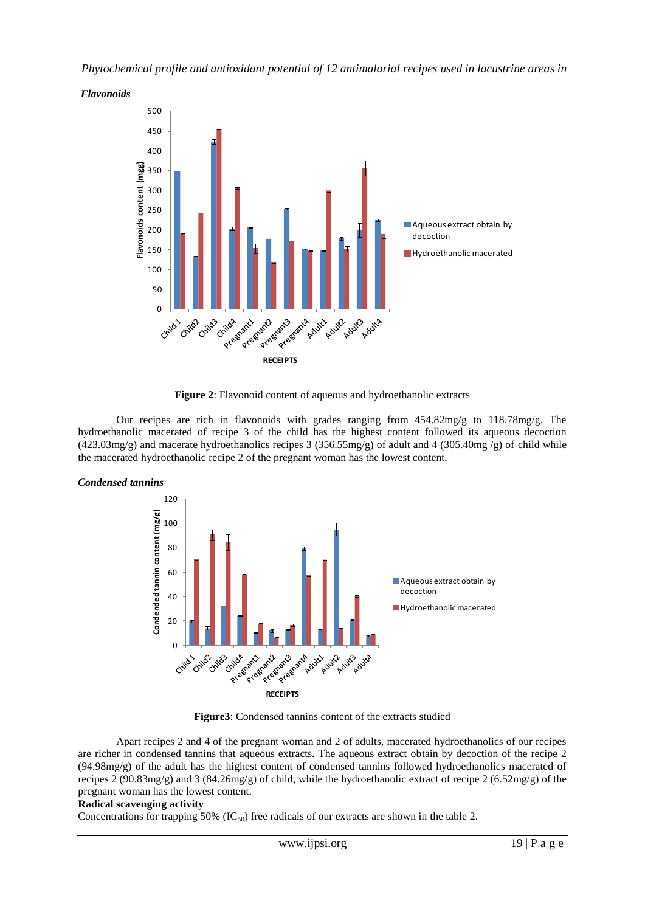



**Figure 2**: Flavonoid content of aqueous and hydroethanolic extracts

Our recipes are rich in flavonoids with grades ranging from 454.82mg/g to 118.78mg/g. The hydroethanolic macerated of recipe 3 of the child has the highest content followed its aqueous decoction  $(423.03mg/g)$  and macerate hydroethanolics recipes 3 (356.55mg/g) of adult and 4 (305.40mg /g) of child while the macerated hydroethanolic recipe 2 of the pregnant woman has the lowest content.



**Figure3**: Condensed tannins content of the extracts studied

Apart recipes 2 and 4 of the pregnant woman and 2 of adults, macerated hydroethanolics of our recipes are richer in condensed tannins that aqueous extracts. The aqueous extract obtain by decoction of the recipe 2 (94.98mg/g) of the adult has the highest content of condensed tannins followed hydroethanolics macerated of recipes 2 (90.83mg/g) and 3 (84.26mg/g) of child, while the hydroethanolic extract of recipe 2 (6.52mg/g) of the pregnant woman has the lowest content.

# **Radical scavenging activity**

Concentrations for trapping 50% (IC<sub>50</sub>) free radicals of our extracts are shown in the table 2.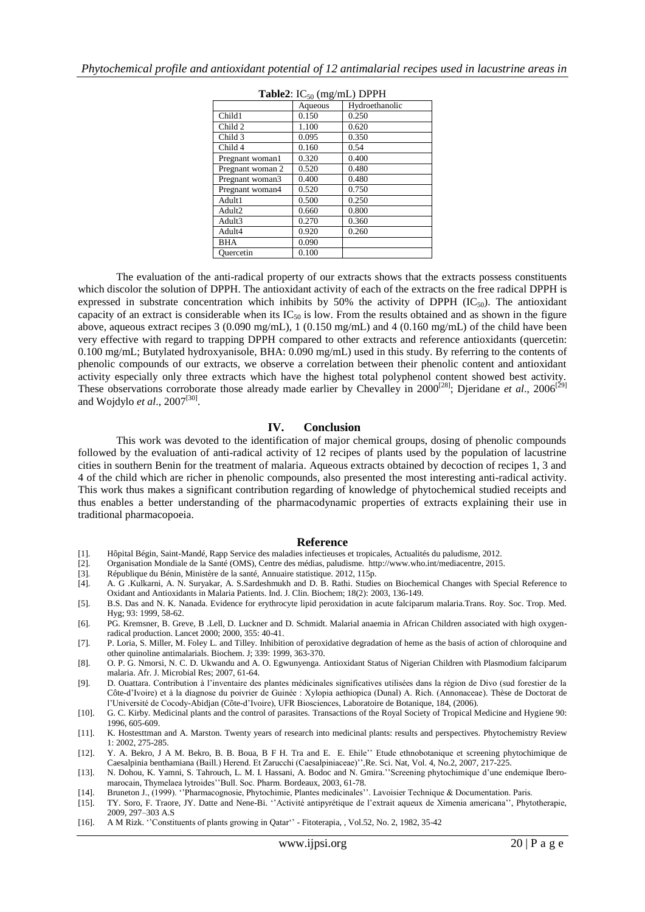|                    | Aqueous | Hydroethanolic |
|--------------------|---------|----------------|
| Child1             | 0.150   | 0.250          |
| Child 2            | 1.100   | 0.620          |
| Child 3            | 0.095   | 0.350          |
| Child 4            | 0.160   | 0.54           |
| Pregnant woman1    | 0.320   | 0.400          |
| Pregnant woman 2   | 0.520   | 0.480          |
| Pregnant woman3    | 0.400   | 0.480          |
| Pregnant woman4    | 0.520   | 0.750          |
| Adult1             | 0.500   | 0.250          |
| Adult <sub>2</sub> | 0.660   | 0.800          |
| Adult3             | 0.270   | 0.360          |
| Adult4             | 0.920   | 0.260          |
| <b>BHA</b>         | 0.090   |                |
| Quercetin          | 0.100   |                |

| <b>Table2:</b> $IC_{50}$ (mg/mL) DPPH |  |
|---------------------------------------|--|
|---------------------------------------|--|

The evaluation of the anti-radical property of our extracts shows that the extracts possess constituents which discolor the solution of DPPH. The antioxidant activity of each of the extracts on the free radical DPPH is expressed in substrate concentration which inhibits by 50% the activity of DPPH  $(IC_{50})$ . The antioxidant capacity of an extract is considerable when its  $IC_{50}$  is low. From the results obtained and as shown in the figure above, aqueous extract recipes 3 (0.090 mg/mL), 1 (0.150 mg/mL) and 4 (0.160 mg/mL) of the child have been very effective with regard to trapping DPPH compared to other extracts and reference antioxidants (quercetin: 0.100 mg/mL; Butylated hydroxyanisole, BHA: 0.090 mg/mL) used in this study. By referring to the contents of phenolic compounds of our extracts, we observe a correlation between their phenolic content and antioxidant activity especially only three extracts which have the highest total polyphenol content showed best activity. These observations corroborate those already made earlier by Chevalley in  $2000^{[28]}$ ; Djeridane *et al.*,  $2006^{[29]}$ and Wojdylo *et al.*, 2007<sup>[30]</sup>.

#### **IV. Conclusion**

This work was devoted to the identification of major chemical groups, dosing of phenolic compounds followed by the evaluation of anti-radical activity of 12 recipes of plants used by the population of lacustrine cities in southern Benin for the treatment of malaria. Aqueous extracts obtained by decoction of recipes 1, 3 and 4 of the child which are richer in phenolic compounds, also presented the most interesting anti-radical activity. This work thus makes a significant contribution regarding of knowledge of phytochemical studied receipts and thus enables a better understanding of the pharmacodynamic properties of extracts explaining their use in traditional pharmacopoeia.

#### **Reference**

- [1]. Hôpital Bégin, Saint-Mandé, Rapp Service des maladies infectieuses et tropicales, Actualités du paludisme, 2012.
- [2]. Organisation Mondiale de la Santé (OMS), Centre des médias, paludisme. [http://www.who.int/mediacentre,](http://www.who.int/mediacentre) 2015.
- [3]. République du Bénin, Ministère de la santé, Annuaire statistique. 2012, 115p.
- [4]. A. G .Kulkarni, A. N. Suryakar, A. S.Sardeshmukh and D. B. Rathi. Studies on Biochemical Changes with Special Reference to Oxidant and Antioxidants in Malaria Patients. Ind. J. Clin. Biochem; 18(2): 2003, 136-149.
- [5]. B.S. Das and N. K. Nanada. Evidence for erythrocyte lipid peroxidation in acute falciparum malaria.Trans. Roy. Soc. Trop. Med. Hyg; 93: 1999, 58-62.
- [6]. PG. Kremsner, B. Greve, B .Lell, D. Luckner and D. Schmidt. Malarial anaemia in African Children associated with high oxygenradical production. Lancet 2000; 2000, 355: 40-41.
- [7]. P. Loria, S. Miller, M. Foley L. and Tilley. Inhibition of peroxidative degradation of heme as the basis of action of chloroquine and other quinoline antimalarials. Biochem. J; 339: 1999, 363-370.
- [8]. O. P. G. Nmorsi, N. C. D. Ukwandu and A. O. Egwunyenga. Antioxidant Status of Nigerian Children with Plasmodium falciparum malaria. Afr. J. Microbial Res; 2007, 61-64.
- [9]. D. Ouattara. Contribution à l"inventaire des plantes médicinales significatives utilisées dans la région de Divo (sud forestier de la Côte-d"Ivoire) et à la diagnose du poivrier de Guinée : Xylopia aethiopica (Dunal) A. Rich. (Annonaceae). Thèse de Doctorat de l"Université de Cocody-Abidjan (Côte-d"Ivoire), UFR Biosciences, Laboratoire de Botanique, 184, (2006).
- [10]. G. C. Kirby. Medicinal plants and the control of parasites. Transactions of the Royal Society of Tropical Medicine and Hygiene 90: 1996, 605-609.
- [11]. K. Hostesttman and A. Marston. Twenty years of research into medicinal plants: results and perspectives. Phytochemistry Review 1: 2002, 275-285.
- [12]. Y. A. Bekro, J A M. Bekro, B. B. Boua, B F H. Tra and E. E. Ehile"" Etude ethnobotanique et screening phytochimique de Caesalpinia benthamiana (Baill.) Herend. Et Zarucchi (Caesalpiniaceae)"",Re. Sci. Nat, Vol. 4, No.2, 2007, 217-225.
- [13]. N. Dohou, K. Yamni, S. Tahrouch, L. M. I. Hassani, A. Bodoc and N. Gmira.""Screening phytochimique d"une endemique Iberomarocain, Thymelaea lytroides""Bull. Soc. Pharm. Bordeaux, 2003, 61-78.
- [14]. Bruneton J., (1999). ""Pharmacognosie, Phytochimie, Plantes medicinales"". Lavoisier Technique & Documentation. Paris.
- [15]. TY. Soro, F. Traore, JY. Datte and Nene-Bi. ""Activité antipyrétique de l"extrait aqueux de Ximenia americana"", Phytotherapie, 2009, 297–303 A.S
- [16]. A M Rizk. "Constituents of plants growing in Qatar" Fitoterapia, , Vol.52, No. 2, 1982, 35-42